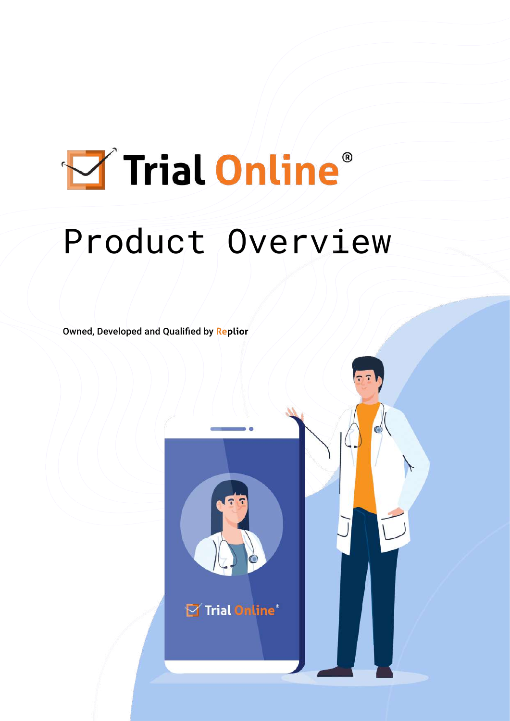# Trial Online® Product Overview

Owned, Developed and Qualified by **Replior**

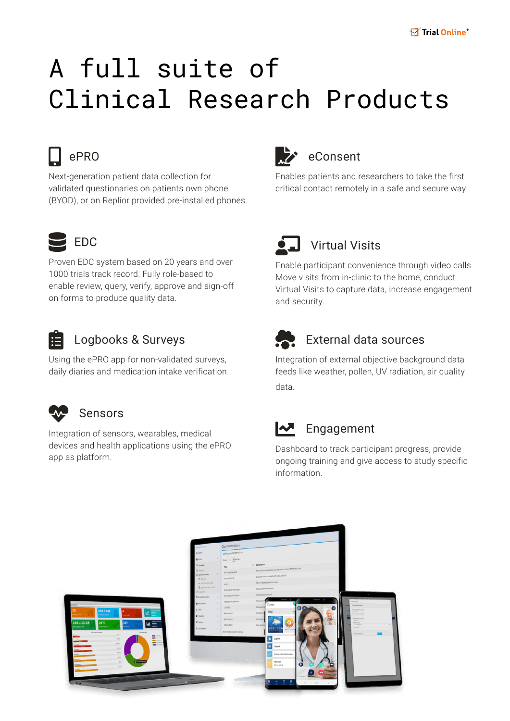## A full suite of Clinical Research Products



#### $e$ PRO

Next-generation patient data collection for validated questionaries on patients own phone (BYOD), or on Replior provided pre-installed phones.



Proven EDC system based on 20 years and over 1000 trials track record. Fully role-based to enable review, query, verify, approve and sign-off on forms to produce quality data.



#### Logbooks & Surveys

Using the ePRO app for non-validated surveys, daily diaries and medication intake verification.



#### **Sensors**

Integration of sensors, wearables, medical devices and health applications using the ePRO app as platform.



Enables patients and researchers to take the first critical contact remotely in a safe and secure way



Enable participant convenience through video calls. Move visits from in-clinic to the home, conduct Virtual Visits to capture data, increase engagement and security.



#### **External data sources**

Integration of external objective background data feeds like weather, pollen, UV radiation, air quality data.

#### $\sqrt{\phantom{a}}$  Engagement

Dashboard to track participant progress, provide ongoing training and give access to study specific information.

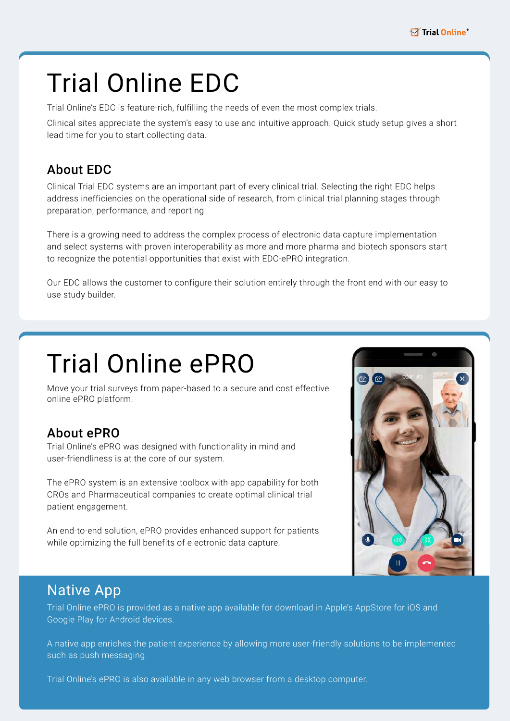### Trial Online EDC

Trial Online's EDC is feature-rich, fulfilling the needs of even the most complex trials.

Clinical sites appreciate the system's easy to use and intuitive approach. Quick study setup gives a short lead time for you to start collecting data.

#### About EDC

Clinical Trial EDC systems are an important part of every clinical trial. Selecting the right EDC helps address inefficiencies on the operational side of research, from clinical trial planning stages through preparation, performance, and reporting.

There is a growing need to address the complex process of electronic data capture implementation and select systems with proven interoperability as more and more pharma and biotech sponsors start to recognize the potential opportunities that exist with EDC-ePRO integration.

Our EDC allows the customer to configure their solution entirely through the front end with our easy to use study builder.

## Trial Online ePRO

Move your trial surveys from paper-based to a secure and cost effective online ePRO platform.

#### About ePRO

Trial Online's ePRO was designed with functionality in mind and user-friendliness is at the core of our system.

The ePRO system is an extensive toolbox with app capability for both CROs and Pharmaceutical companies to create optimal clinical trial patient engagement.

An end-to-end solution, ePRO provides enhanced support for patients while optimizing the full benefits of electronic data capture.



#### Native App

Trial Online ePRO is provided as a native app available for download in Apple's AppStore for iOS and Google Play for Android devices.

A native app enriches the patient experience by allowing more user-friendly solutions to be implemented such as push messaging.

Trial Online's ePRO is also available in any web browser from a desktop computer.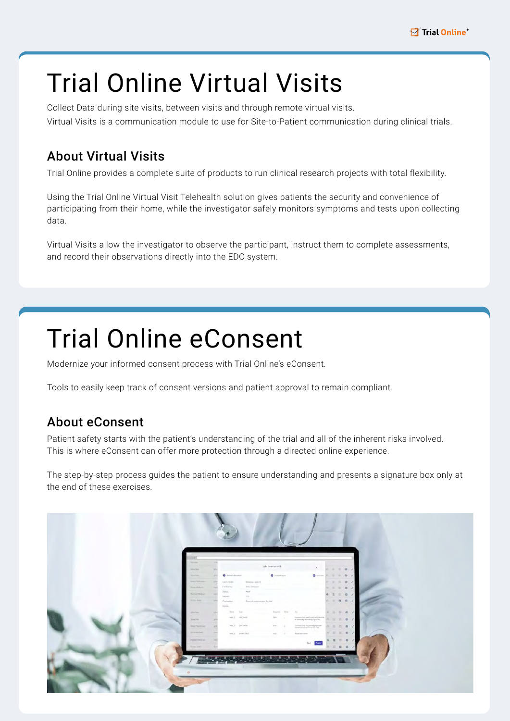## Trial Online Virtual Visits

Collect Data during site visits, between visits and through remote virtual visits. Virtual Visits is a communication module to use for Site-to-Patient communication during clinical trials.

#### About Virtual Visits

Trial Online provides a complete suite of products to run clinical research projects with total flexibility.

Using the Trial Online Virtual Visit Telehealth solution gives patients the security and convenience of participating from their home, while the investigator safely monitors symptoms and tests upon collecting data.

Virtual Visits allow the investigator to observe the participant, instruct them to complete assessments, and record their observations directly into the EDC system.

### Trial Online eConsent

Modernize your informed consent process with Trial Online's eConsent.

Tools to easily keep track of consent versions and patient approval to remain compliant.

#### About eConsent

Patient safety starts with the patient's understanding of the trial and all of the inherent risks involved. This is where eConsent can offer more protection through a directed online experience.

The step-by-step process guides the patient to ensure understanding and presents a signature box only at the end of these exercises.

| More.<br>Add new consent<br>×<br>.<br>Agree Date:<br>0 torns   1   1   0 /<br><b>Q</b> deterministics<br>Alley Role<br><b>Q</b> Cumori Vieum<br><b>Tekn Third Lives</b><br>hidsmediatels of<br>Edmant (Sie<br>Oversex:<br>Aring Jameson<br>Assim Biologic<br>60 8 8 2<br>Status:<br>FIERE.<br>Michael Mission<br>0.007<br>18<br>Wrsein<br>Hilling Assets<br>0 8 0 7<br>Description<br>-Neyconformed content formula<br>Argualdic.<br>Superviso Date: Date:<br>New has<br>8 8 8 9 7<br>Affection<br>intereste that health data are subscribed.<br>an algorithm afforming groppically,<br>ENCL: CRONOT<br>faller.<br>$-100$<br>1: 0.7<br>Alteri Dean<br>field 2 2 EXCENSE<br>town or<br>3 barrent that by present physician<br>Parke Thomas erry<br>8 8 8 8 7<br>will be askerned about the trial |
|-------------------------------------------------------------------------------------------------------------------------------------------------------------------------------------------------------------------------------------------------------------------------------------------------------------------------------------------------------------------------------------------------------------------------------------------------------------------------------------------------------------------------------------------------------------------------------------------------------------------------------------------------------------------------------------------------------------------------------------------------------------------------------------------------|
|                                                                                                                                                                                                                                                                                                                                                                                                                                                                                                                                                                                                                                                                                                                                                                                                 |
|                                                                                                                                                                                                                                                                                                                                                                                                                                                                                                                                                                                                                                                                                                                                                                                                 |
|                                                                                                                                                                                                                                                                                                                                                                                                                                                                                                                                                                                                                                                                                                                                                                                                 |
|                                                                                                                                                                                                                                                                                                                                                                                                                                                                                                                                                                                                                                                                                                                                                                                                 |
|                                                                                                                                                                                                                                                                                                                                                                                                                                                                                                                                                                                                                                                                                                                                                                                                 |
|                                                                                                                                                                                                                                                                                                                                                                                                                                                                                                                                                                                                                                                                                                                                                                                                 |
|                                                                                                                                                                                                                                                                                                                                                                                                                                                                                                                                                                                                                                                                                                                                                                                                 |
|                                                                                                                                                                                                                                                                                                                                                                                                                                                                                                                                                                                                                                                                                                                                                                                                 |
| Terrain Nortenia<br>0 0 0 0 1<br>BALL SYNCOLOGY<br>Aman.<br>PlyActionnama.                                                                                                                                                                                                                                                                                                                                                                                                                                                                                                                                                                                                                                                                                                                      |
| <br>Milliam Middler<br>R.L.V                                                                                                                                                                                                                                                                                                                                                                                                                                                                                                                                                                                                                                                                                                                                                                    |
| Permit William<br>.                                                                                                                                                                                                                                                                                                                                                                                                                                                                                                                                                                                                                                                                                                                                                                             |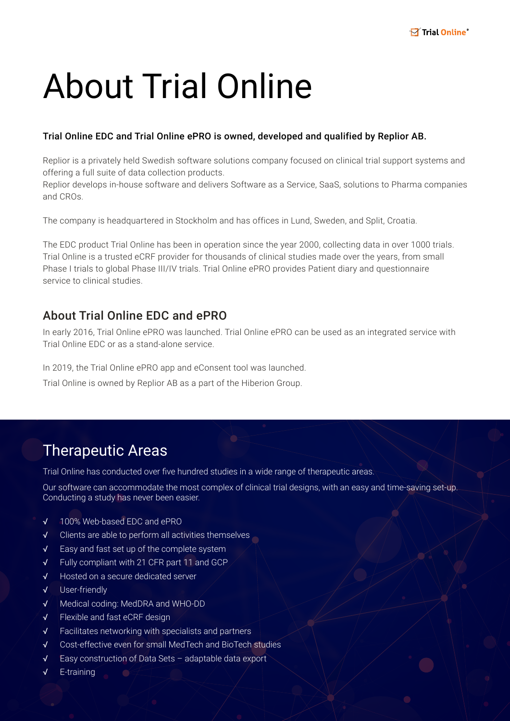## About Trial Online

#### Trial Online EDC and Trial Online ePRO is owned, developed and qualified by Replior AB.

Replior is a privately held Swedish software solutions company focused on clinical trial support systems and offering a full suite of data collection products.

Replior develops in-house software and delivers Software as a Service, SaaS, solutions to Pharma companies and CROs.

The company is headquartered in Stockholm and has offices in Lund, Sweden, and Split, Croatia.

The EDC product Trial Online has been in operation since the year 2000, collecting data in over 1000 trials. Trial Online is a trusted eCRF provider for thousands of clinical studies made over the years, from small Phase I trials to global Phase III/IV trials. Trial Online ePRO provides Patient diary and questionnaire service to clinical studies.

#### About Trial Online EDC and ePRO

In early 2016, Trial Online ePRO was launched. Trial Online ePRO can be used as an integrated service with Trial Online EDC or as a stand-alone service.

In 2019, the Trial Online ePRO app and eConsent tool was launched.

Trial Online is owned by Replior AB as a part of the Hiberion Group.

#### Therapeutic Areas

Trial Online has conducted over five hundred studies in a wide range of therapeutic areas.

Our software can accommodate the most complex of clinical trial designs, with an easy and time-saving set-up. Conducting a study has never been easier.

- √ 100% Web-based EDC and ePRO
- √ Clients are able to perform all activities themselves
- √ Easy and fast set up of the complete system
- √ Fully compliant with 21 CFR part 11 and GCP
- √ Hosted on a secure dedicated server
- √ User-friendly
- √ Medical coding: MedDRA and WHO-DD
- √ Flexible and fast eCRF design
- √ Facilitates networking with specialists and partners
- √ Cost-effective even for small MedTech and BioTech studies
- √ Easy construction of Data Sets adaptable data export
- E-training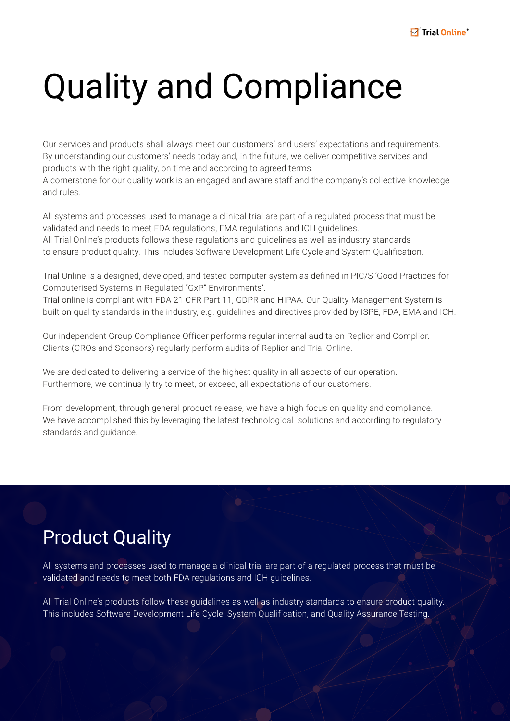## Quality and Compliance

Our services and products shall always meet our customers' and users' expectations and requirements. By understanding our customers' needs today and, in the future, we deliver competitive services and products with the right quality, on time and according to agreed terms.

A cornerstone for our quality work is an engaged and aware staff and the company's collective knowledge and rules.

All systems and processes used to manage a clinical trial are part of a regulated process that must be validated and needs to meet FDA regulations, EMA regulations and ICH guidelines. All Trial Online's products follows these regulations and guidelines as well as industry standards to ensure product quality. This includes Software Development Life Cycle and System Qualification.

Trial Online is a designed, developed, and tested computer system as defined in PIC/S 'Good Practices for Computerised Systems in Regulated "GxP" Environments'.

Trial online is compliant with FDA 21 CFR Part 11, GDPR and HIPAA. Our Quality Management System is built on quality standards in the industry, e.g. guidelines and directives provided by ISPE, FDA, EMA and ICH.

Our independent Group Compliance Officer performs regular internal audits on Replior and Complior. Clients (CROs and Sponsors) regularly perform audits of Replior and Trial Online.

We are dedicated to delivering a service of the highest quality in all aspects of our operation. Furthermore, we continually try to meet, or exceed, all expectations of our customers.

From development, through general product release, we have a high focus on quality and compliance. We have accomplished this by leveraging the latest technological solutions and according to regulatory standards and guidance.

### Product Quality

All systems and processes used to manage a clinical trial are part of a regulated process that must be validated and needs to meet both FDA regulations and ICH guidelines.

All Trial Online's products follow these guidelines as well as industry standards to ensure product quality. This includes Software Development Life Cycle, System Qualification, and Quality Assurance Testing.